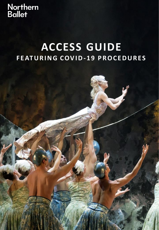**Northern<br>Ballet** 

# **ACCESS GUIDE F E AT U R I N G C OV I D- 1 9 P R O C E D U R E S**

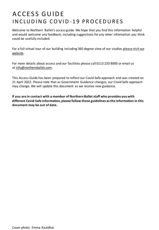### ACCESS GUIDE IN CLUDING COVID-19 PROCEDURES

Welcome to Northern Ballet's access guide. We hope that you find this information helpful and would welcome any feedback; including suggestions for any other information you think could be usefully included.

[For a full virtual tour of our building including](https://northernballet.com/explore-our-home) 360 degree view of our studios please visit our website.

For more details about access and our facilities please call 0113 220 8000 or email us at [info@northernballet.com.](mailto:info@northernballet.com)

This Access Guide has been prepared to reflect our Covid Safe approach and was created on 21 April 2022. Please note that as Government Guidance changes, our Covid Safe approach may change. We will update this document as we receive new guidance.

**If you are in contact with a member of Northern Ballet staff who provides you with different Covid Safe information, please follow those guidelines as the information in this document may be out of date.**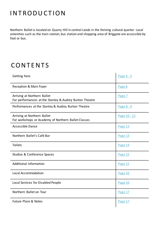### **INTRODUCTION**

Northern Ballet is located on Quarry Hill in central Leeds in the thriving cultural quarter. Local amenities such as the train station, bus station and shopping area of Briggate are accessible by foot or bus.

### **CONTENTS**

| Getting here                                                                           | Page 4 - 5   |
|----------------------------------------------------------------------------------------|--------------|
| Reception & Main Foyer                                                                 | Page 6       |
| Arriving at Northern Ballet<br>For performances at the Stanley & Audrey Burton Theatre | Page 7       |
| Performances at the Stanley & Audrey Burton Theatre                                    | Page 8 - 9   |
| Arriving at Northern Ballet<br>For workshops or Academy of Northern Ballet Classes     | Page 10 - 12 |
| <b>Accessible Dance</b>                                                                | Page 13      |
| Northern Ballet's Café Bar                                                             | Page 13      |
| <b>Toilets</b>                                                                         | Page 14      |
| Studios & Conference Spaces                                                            | Page 15      |
| <b>Additional Information</b>                                                          | Page 15      |
| <b>Local Accommodation</b>                                                             | Page 16      |
| Local Services for Disabled People                                                     | Page 16      |
| Northern Ballet on Tour                                                                | Page 17      |
| <b>Future Plans &amp; Notes</b>                                                        | Page 17      |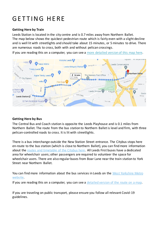# **GETTING HERE**

#### **Getting Here by Train**

Leeds Station is located in the city centre and is 0.7 miles away from Northern Ballet. The map below shows the quickest pedestrian route which is fairly even with a slight decline and is well lit with streetlights and should take about 15 minutes, or 5 minutes to drive. There are numerous roads to cross, both with and without pelican crossings.

If you are reading this on a computer, you can see a [more detailed version of this map](https://www.google.com/maps/dir/Leeds+Station,+New+Station+St,+Leeds+LS1+4DY/Northern+Ballet,+Quarry+Hill,+Leeds/@53.7959537,-1.5403138,16z/data=!4m19!4m18!1m10!1m1!1s0x48795c1efdf4eb25:0x8a34c051349bc998!2m2!1d-1.5473693!2d53.7949641!3m4!1m2!1d-1.5438138!2d53.795922!3s0x48795c19375c8145:0xd49b5ea1dd20bbfd!1m5!1m1!1s0x48795c16af4c72f7:0xc77282b8014843b3!2m2!1d-1.532174!2d53.79707!3e2) here.



#### **Getting Here by Bus**

The Central Bus and Coach station is opposite the Leeds Playhouse and is 0.1 miles from Northern Ballet. The route from the bus station to Northern Ballet is level and firm, with three pelican-controlled roads to cross. It is lit with streetlights.

There is a bus interchange outside the New Station Street entrance. The Citybus stops here en-route to the bus station (which is close to Northern Ballet), you can find more information about the [routes and timetable of the Citybus here.](https://www.firstgroup.com/leeds/routes-and-maps/leedscity) All Leeds First buses have a dedicated area for wheelchair users; other passengers are required to volunteer the space for wheelchair users. There are also regular buses from Boar Lane near the train station to York Street near Northern Ballet.

[You can find more information about the bus services in Leeds on the](https://www.wymetro.com/) West Yorkshire Metro website.

If you are reading this on a computer, you can see a [detailed version of](https://www.google.com/maps/dir/Leeds+Bus+Station,+Dyer+Street,+Leeds/Northern+Ballet,+Quarry+Hill,+Leeds/@53.7968232,-1.5341547,18z/data=!4m39!4m38!1m30!1m1!1s0x48795c10cc54c1fb:0x9ff8c852e131b4a7!2m2!1d-1.5359584!2d53.797346!3m4!1m2!1d-1.5359739!2d53.7964875!3s0x48795c173126c75f:0x341b2f9db5d3b2b5!3m4!1m2!1d-1.5346701!2d53.7965938!3s0x48795c16ded28789:0xedee0ae0340e7092!3m4!1m2!1d-1.5344631!2d53.7967878!3s0x48795c16ded28789:0xedee0ae0340e7092!3m4!1m2!1d-1.5341599!2d53.7965578!3s0x48795c16c4affecf:0x23f7d822765031fd!3m4!1m2!1d-1.5336227!2d53.797165!3s0x48795c16c9d3dd47:0x417b2b9b0779a195!1m5!1m1!1s0x48795c16af4c72f7:0xc77282b8014843b3!2m2!1d-1.532174!2d53.79707!3e2) the route on a map.

If you are traveling on public transport, please ensure you follow all relevant Covid-19 guidelines.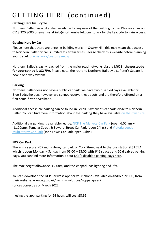# GETTING HERE (continued)

### **Getting Here by Bicycle**

Northern Ballet has a bike shed available for any user of the building to use. Please call us on 0113 220 8000 or email us at [info@northernballet.com](mailto:info@northernballet.com) to ask for the keycode to gain access.

#### **Getting Here by Car**

Please note that there are ongoing building works in Quarry Hill, this may mean that access to Northern Ballet by car is limited at certain times. Please check this website before planning your travel: [one.network/custom/leeds/](http://www.one.network/custom/leeds/)

Northern Ballet is easily reached from the major road networks via the M621, **the postcode for your satnav is LS2 7PA.** Please note, the route to Northern Ballet via St Peter's Square is now a one way system.

### **Parking**

Northern Ballet does not have a public car park, we have two disabled bays available for Blue Badge holders however we cannot reserve these spots and are therefore offered on a first come first served basis.

Additional accessible parking can be found in Leeds Playhouse's car park, close to Northern Ballet. You can find more information about the parking they have available [on their website.](https://leedsplayhouse.org.uk/visiting-the-playhouse/finding-us/)

Additional car parking is available nearby: [NCP The Markets Car Park](https://www.ncp.co.uk/find-a-car-park/car-parks/leeds-the-markets/) (open 6.00 am – [11.00pm\), Templar Street & Edward](https://www.victorialeeds.co.uk/parking/victoria-leeds-multi-storey-car-park) Street Car Park (open 24hrs) and Victoria Leeds Multi Storey Car Park (John Lewis Car Park, open 24hrs)

### **NCP Car Park**

There is a secure NCP multi-storey car park on York Street next to the bus station (LS2 7EA) which is open Monday – Sunday from  $06:00 - 23:00$  with 646 spaces and 20 disabled parking bays. You can find more information about [NCP's disabled parking bays here](https://www.ncp.co.uk/help-centre/general-enquiry/do-i-have-to-pay-for-disabled-parking/).

The max height allowance is 2.08m, and the car park has lighting and lifts.

You can download the NCP ParkPass app for your phone (available on Android or IOS) from their website. [www.ncp.co.uk/parking-solutions/ncpparkpass/](http://www.ncp.co.uk/parking-solutions/ncpparkpass/) (prices correct as of March 2022)

If using the app, parking for 24 hours will cost £8.95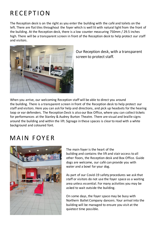# **RECEPTION**

The Reception desk is on the right as you enter the building with the café and toilets on the left. There are flat tiles throughout the foyer which is well lit with natural light from the front of the building. At the Reception desk, there is a low counter measuring 750mm / 29.5 inches high. There will be a transparent screen in front of the Reception desk to help protect our staff and visitors.



Our Reception desk, with a transparent screen to protect staff.

When you arrive, our welcoming Reception staff will be able to direct you around the building. There is a transparent screen in front of the Reception desk to help protect our staff and visitors. Here you can ask for help and directions, and pick up headsets for the hearing loop or ear defenders. The Reception Desk is also our Box Office, where you can collect tickets for performances at the Stanley & Audrey Burton Theatre. There are visual and braille signs around the building and within the lift. Signage in these spaces is clear to read with a white background and coloured font.

### MAIN FOYER



The main foyer is the heart of the building and contains the lift and stair access to all other floors, the Reception desk and Box Office. Guide dogs are welcome, our café can provide you with water and a bowl for your dog.

As part of our Covid-19 safety procedures we ask that staff or visitors do not use the foyer space as a waiting area unless essential. For many activities you may be asked to wait outside the building.

On some days, the foyer space may be busy with Northern Ballet Company dancers. Your arrival into the building will be managed to ensure you visit at the quietest time possible.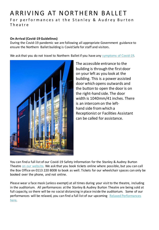### A R R I V I N G A T N O R T H E R N B A LLE T

For performances at the Stanley & Audrey Burton T h e a t r e

#### **On Arrival (Covid-19 Guidelines)**

During the Covid-19 pandemic we are following all appropriate Government guidance to ensure the Northern Ballet building is Covid Safe for staff and visitors.

We ask that you do not travel to Northern Ballet if you have any [symptoms of Covid-19.](https://www.nhs.uk/conditions/coronavirus-covid-19/symptoms/)



The accessible entrance to the building is through the first door on your left as you look at the building. This is a power assisted door which opens outwards and the button to open the door is on the right-hand side. The door width is 1040mm/41 inches. There is an intercom on the lefthand side from which a Receptionist or Facilities Assistant can be called for assistance.

You can find a full list of our Covid-19 Safety Information for the Stanley & Audrey Burton Theatre [on our website.](https://theatreleeds.com/safety) We ask that you book tickets online where possible, but you can call the Box Office on 0113 220 8008 to book as well. Tickets for our wheelchair spaces can only be booked over the phone, and not online.

Please wear a face mask (unless exempt) at all times during your visit to the theatre, including in the auditorium. All performances at the Stanley & Audrey Burton Theatre are being sold at full capacity, so there will be no social distancing in place inside the auditorium. Some of our [performances will be relaxed, you can find a full list of our upcoming](https://northernballet.com/accessible-performances/relaxed-performances) Relaxed Performances here.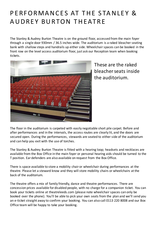### PERFORMANCES AT THE STANLEY & AUDREY BURTON THEATRE

The Stanley & Audrey Burton Theatre is on the ground floor, accessed from the main foyer through a single door 930mm / 36.5 inches wide. The auditorium is a raked bleacher seating bank with shallow steps and handrails up either side. Wheelchair spaces can be booked in the front row on the level access auditorium floor, just ask our Reception team when booking tickets.



These are the raked bleacher seats inside the auditorium.

The floor in the auditorium is carpeted with easily negotiable short pile carpet. Before and after performances and in the intervals, the access routes are clearly lit, and the doors are secured open. During the performances, stewards are seated to either side of the auditorium and can help you exit with the use of torches.

The Stanley & Audrey Burton Theatre is fitted with a hearing loop; headsets and necklaces are available from the Box Office in the main foyer or personal hearing aids should be turned to the T position. Ear defenders are also available on request from the Box Office.

There is space available to store a mobility chair or wheelchair during performances at the theatre. Please let a steward know and they will store mobility chairs or wheelchairs at the back of the auditorium.

The theatre offers a mix of family friendly, dance and theatre performances. There are concession prices available for disabled people, with no charge for a companion ticket. You can book your tickets online at theatreleeds.com (please note wheelchair spaces can only be booked over the phone). You'll be able to pick your own seats from the plan and we'll send you an e-ticket straight away to confirm your booking. You can also call 0113 220 8008 and our Box Office team will be happy to take your booking.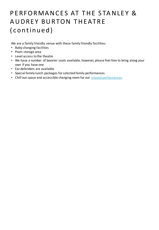# PERFORMANCES AT THE STANLEY & AUDREY BURTON THEATRE ( c o n t in u e d )

We are a family friendly venue with these family friendly facilities:

- Baby changing facilities
- Pram storage area
- Level access to the theatre
- We have a number of booster seats available, however, please feel free to bring along your own if you have one
- Ear defenders are available
- Special family lunch packages for selected family performances
- Chill out space and accessible changing room for our [relaxed performances.](https://northernballet.com/accessible-performances/relaxed-performances)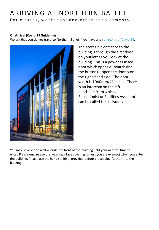# A R R I V I N G A T N O R T H E R N B A LLET

For classes, workshops and other appointments

### **On Arrival (Covid-19 Guidelines)**

We ask that you do not travel to Northern Ballet if you have any [symptoms of Covid-19.](https://www.nhs.uk/conditions/coronavirus-covid-19/symptoms/)



The accessible entrance to the building is through the first door on your left as you look at the building. This is a power assisted door which opens outwards and the button to open the door is on the right-hand side. The door width is 1040mm/41 inches. There is an intercom on the lefthand side from which a Receptionist or Facilities Assistant can be called for assistance.

You may be asked to wait outside the front of the building until your allotted time to enter. Please ensure you are wearing a face covering (unless you are exempt) when you enter the building. Please use the hand sanitiser provided before proceeding further into the building.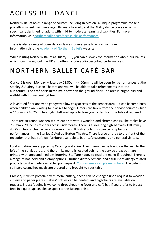# A C C E S S I BLE DANCE

Northern Ballet holds a range of courses including In Motion, a unique programme for selfpropelling wheelchair users aged 8+ years to adult, and the Ability dance course which is specifically designed for adults with mild to moderate learning disabilities. For more information visit [northernballet.com/accessible-performances.](https://northernballet.com/accessible-performances)

There is also a range of open dance classes for everyone to enjoy. For more information visit the [Academy of Northern Ballet's](https://northernballet.com/academy) website.

While visiting Northern Ballet at Quarry Hill, you can also ask for information about our ballets which tour throughout the UK and often include audio described performances.

# NORTHERN BALLET CAFÉ BAR

Our café is open Monday – Saturday 08.30am - 4.00pm. It will be open for performances at the Stanley & Audrey Burton Theatre and you will be able to take refreshments into the auditorium. The café bar is in the main foyer on the ground floor. The area is bright, airy and well-lit with fluorescent lighting.

A level tiled floor and wide gangway allow easy access to the service area – it can become busy when children are waiting for classes to begin. Orders are taken from the service counter which is 1100mm / 43.25 inches high. Staff are happy to take your order from the table if required.

There are six round wooden tables each set with 4 wooden and chrome chairs. The tables have 735mm / 29 inches of clear access underneath. There is also a long high bar with 1100mm / 43.25 inches of clear access underneath and 8 high stools. This can be busy before performances in the Stanley & Audrey Burton Theatre. There is also an area to the front of the reception that has soft low furniture available to both café customers and general visitors.

Food and drink are supplied by Catering Yorkshire. Their menu can be found on the wall to the left of the service area, and the drinks menu is located behind the service area; both are printed with large and medium lettering. Staff are happy to read the menu if required. There is a range of hot, cold and dietary options - further dietary options and a full list of allergy related products can be made available upon request. [You can see a sample menu here.](https://northernballet.com/our-building/catering) The café is self-service and hot meals are ordered and brought to your table.

Crockery is white porcelain with metal cutlery; these can be changed upon request to wooden cutlery and paper plates. Babies' bottles can be heated, and highchairs are available on request. Breast feeding is welcome throughout the foyer and café bar. If you prefer to breast feed in a quiet space, please speak to the Receptionist.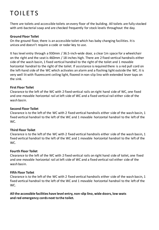# **TOILETS**

There are toilets and accessible toilets on every floor of the building. All toilets are fully stocked with anti-bacterial soap and are checked frequently for stock levels throughout the day.

#### **Ground Floor Toilet**

On the ground floor, there is an accessible toilet which has baby changing facilities. It is unisex and doesn't require a code or radar key to use.

It has level entry through a 930mm / 36.5-inch-wide door, a clear 1m space for a wheelchair on the right and the seat is 460mm / 18 inches high. There are 2 fixed vertical handrails either side of the wash basin, 1 fixed vertical handrail to the right of the toilet and 1 movable horizontal handrail to the right of the toilet. If assistance is required there is a red pull cord on the left-hand side of the WC which activates an alarm and a flashing light outside the WC. It is very well lit with fluorescent ceiling light, floored in non-slip lino with extended lever taps on the sink.

#### **First Floor Toilet**

Clearance to the left of the WC with 2 fixed vertical rails on right hand side of WC, one fixed and one movable horizontal rail at left side of WC and a fixed vertical rail either side of the wash basin.

#### **Second Floor Toilet**

Clearance is to the left of the WC with 2 fixed vertical handrails either side of the wash basin, 1 fixed vertical handrail to the left of the WC and 1 movable horizontal handrail to the left of the WC.

#### **Third Floor Toilet**

Clearance is to the left of the WC with 2 fixed vertical handrails either side of the wash basin, 1 fixed vertical handrail to the left of the WC and 1 movable horizontal handrail to the left of the WC.

#### **Fourth Floor Toilet**

Clearance to the left of the WC with 2 fixed vertical rails on right hand side of toilet, one fixed and one movable horizontal rail at left side of WC and a fixed vertical rail either side of the wash basin.

#### **Fifth Floor Toilet**

Clearance is to the left of the WC with 2 fixed vertical handrails either side of the wash basin, 1 fixed vertical handrail to the left of the WC and 1 movable horizontal handrail to the left of the WC.

**All the accessible facilities have level entry, non-slip lino, wide doors, low seats and red emergency cords next to the toilet.**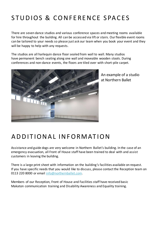# STUDIOS & CONFERENCE SPACES

There are seven dance studios and various conference spaces and meeting rooms available for hire throughout the building. All can be accessed via lift or stairs. Our flexible event rooms can be tailored to your needs so please just ask our team when you book your event and they will be happy to help with any requests.

The studios are all harlequin dance floor sealed from wall to wall. Many studios have permanent bench seating along one wall and moveable wooden stools. During conferences and non-dance events, the floors are tiled over with short-pile carpet.



An example of a studio at Northern Ballet

### A D D I T I O N A L I N F O R M AT I O N

Assistance and guide dogs are very welcome in Northern Ballet's building. In the case of an emergency evacuation, all Front of House staff have been trained to deal with and assist customers in leaving the building.

There is a large print sheet with information on the building's facilities available on request. If you have specific needs that you would like to discuss, please contact the Reception team on 0113 220 8000 or email [info@northernballet.com.](mailto:info@northernballet.com)

Members of our Reception, Front of House and Facilities staff have received basic Makaton communication training and Disability Awareness and Equality training.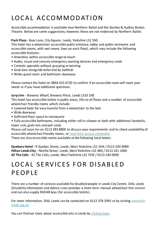# LOCAL ACCOMMODATION

Accessible accommodation is available near Northern Ballet and the Stanley & Audrey Burton Theatre. Below are some suggestions; however, these are not endorsed by Northern Ballet.

### **Park Plaza** - Boar Lane, City Square, Leeds, Yorkshire LS1 5NS

This hotel has a wheelchair accessible public entrance, lobby and public restrooms and accessible rooms, with wet rooms (two on each floor), which may include the following accessible features:

- Amenities within accessible range to reach
- Audio, visual and sensory emergency warning devices and emergency cords
- Controls operable without grasping or twisting
- Grab bars alongside toilet and by bathtub
- Wider guest room and bathroom doorways

Please contact the hotel on 0844 415 6720 to confirm if an accessible room will meet your needs or if you have additional questions.

### **Jurys Inn** - Brewery Wharf, Brewery Place, Leeds LS10 1NE

This hotel has accessible toilets in public areas, lifts to all floors and a number of accessible wheelchair friendly rooms which include:

- Lowered beds for easy transfer from a wheelchair to the bed
- Wide doorways
- Sufficient floor space to manoeuvre
- Fully accessible bathrooms, including either roll-in shower or bath with additional handrails, lower sink, grab rails and pull cords

Please call Jurys Inn on 0113 283 8800 to discuss your requirements and to check availability of accessible wheelchair friendly rooms, or [read their access statement.](https://www.jurysinns.com/pdf/index.html?file=/files/pdfs/jurys_inn_leeds_access_statement_2018.pdf)

There are also accessible rooms available at the following local hotels:

**Quebecs Hotel** - 9 Quebec Street, Leeds, West Yorkshire LS1 2HA / 0113 244 8989 **Hilton Leeds City** - Neville Street, Leeds, West Yorkshire LS1 4BX / 0113 241 1000 **42 The Calls** - 42 The Calls, Leeds, West Yorkshire LS2 7EW / 0113 244 0099

### LOCAL SERVICES FOR DISABLED **PFOPIF**

There are a number of services available for disabled people in Leeds City Centre. DIAL Leeds (Disability Information and Advice Line) provides a short-term manual wheelchair hire service and can also supply RADAR keys (for accessible toilets).

[For more information, DIAL Leeds can be contacted on 0113 378 2992 or by visiting www.dial](http://www.dial-leeds.org.uk)leeds.org.uk

You can find out more about accessible arts in Leeds by [clicking here.](https://northernballet.com/accessible-performances/accessible-arts-in-leeds)